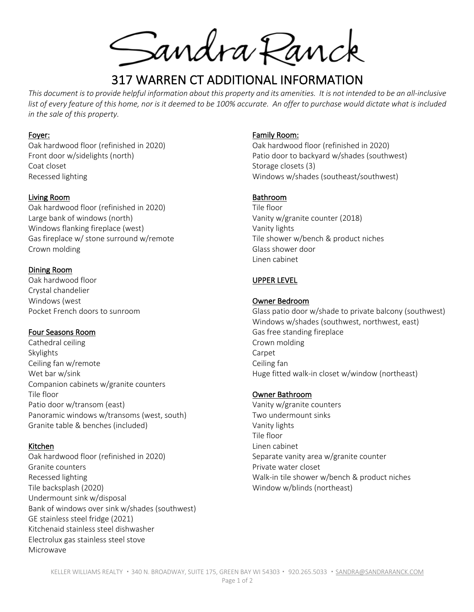Sandra Ranck

# 317 WARREN CT ADDITIONAL INFORMATION

*This document is to provide helpful information about this property and its amenities. It is not intended to be an all-inclusive*  list of every feature of this home, nor is it deemed to be 100% accurate. An offer to purchase would dictate what is included *in the sale of this property.*

#### Foyer:

Oak hardwood floor (refinished in 2020) Front door w/sidelights (north) Coat closet Recessed lighting

# Living Room

Oak hardwood floor (refinished in 2020) Large bank of windows (north) Windows flanking fireplace (west) Gas fireplace w/ stone surround w/remote Crown molding

# Dining Room

Oak hardwood floor Crystal chandelier Windows (west Pocket French doors to sunroom

# Four Seasons Room

Cathedral ceiling Skylights Ceiling fan w/remote Wet bar w/sink Companion cabinets w/granite counters Tile floor Patio door w/transom (east) Panoramic windows w/transoms (west, south) Granite table & benches (included)

# Kitchen

Oak hardwood floor (refinished in 2020) Granite counters Recessed lighting Tile backsplash (2020) Undermount sink w/disposal Bank of windows over sink w/shades (southwest) GE stainless steel fridge (2021) Kitchenaid stainless steel dishwasher Electrolux gas stainless steel stove Microwave

#### Family Room:

Oak hardwood floor (refinished in 2020) Patio door to backyard w/shades (southwest) Storage closets (3) Windows w/shades (southeast/southwest)

#### Bathroom

Tile floor Vanity w/granite counter (2018) Vanity lights Tile shower w/bench & product niches Glass shower door Linen cabinet

# UPPER LEVEL

#### Owner Bedroom

Glass patio door w/shade to private balcony (southwest) Windows w/shades (southwest, northwest, east) Gas free standing fireplace Crown molding Carpet Ceiling fan Huge fitted walk-in closet w/window (northeast)

#### Owner Bathroom

Vanity w/granite counters Two undermount sinks Vanity lights Tile floor Linen cabinet Separate vanity area w/granite counter Private water closet Walk-in tile shower w/bench & product niches Window w/blinds (northeast)